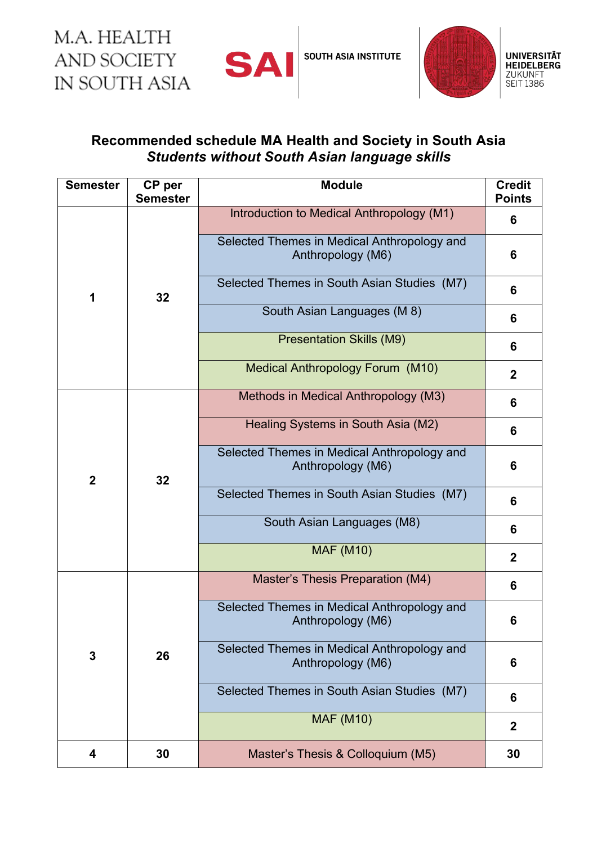M.A. HEALTH **AND SOCIETY** IN SOUTH ASIA



**SOUTH ASIA INSTITUTE** 



## **Recommended schedule MA Health and Society in South Asia** *Students without South Asian language skills*

| <b>Semester</b> | CP per<br><b>Semester</b> | <b>Module</b>                                                    | <b>Credit</b><br><b>Points</b> |
|-----------------|---------------------------|------------------------------------------------------------------|--------------------------------|
| 1               | 32                        | Introduction to Medical Anthropology (M1)                        | 6                              |
|                 |                           | Selected Themes in Medical Anthropology and<br>Anthropology (M6) | 6                              |
|                 |                           | Selected Themes in South Asian Studies (M7)                      | 6                              |
|                 |                           | South Asian Languages (M 8)                                      | 6                              |
|                 |                           | <b>Presentation Skills (M9)</b>                                  | 6                              |
|                 |                           | Medical Anthropology Forum (M10)                                 | $\mathbf 2$                    |
| $\mathbf 2$     | 32                        | Methods in Medical Anthropology (M3)                             | 6                              |
|                 |                           | Healing Systems in South Asia (M2)                               | 6                              |
|                 |                           | Selected Themes in Medical Anthropology and<br>Anthropology (M6) | 6                              |
|                 |                           | Selected Themes in South Asian Studies (M7)                      | 6                              |
|                 |                           | South Asian Languages (M8)                                       | 6                              |
|                 |                           | <b>MAF (M10)</b>                                                 | $\mathbf 2$                    |
| 3               | 26                        | Master's Thesis Preparation (M4)                                 | 6                              |
|                 |                           | Selected Themes in Medical Anthropology and<br>Anthropology (M6) | 6                              |
|                 |                           | Selected Themes in Medical Anthropology and<br>Anthropology (M6) | 6                              |
|                 |                           | Selected Themes in South Asian Studies (M7)                      | 6                              |
|                 |                           | <b>MAF (M10)</b>                                                 | $\boldsymbol{2}$               |
| 4               | 30                        | Master's Thesis & Colloquium (M5)                                | 30                             |